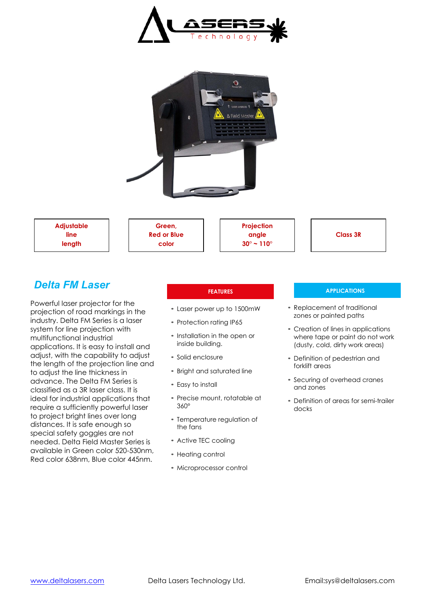



**Adjustable line length**

**Green, Red or Blue color**



**Class 3R**

# *Delta FM Laser*

Powerful laser projector for the projection of road markings in the industry. Delta FM Series is a laser system for line projection with multifunctional industrial applications. It is easy to install and adjust, with the capability to adjust the length of the projection line and to adjust the line thickness in advance. The Delta FM Series is classified as a 3R laser class. It is ideal for industrial applications that require a sufficiently powerful laser to project bright lines over long distances. It is safe enough so special safety goggles are not needed. Delta Field Master Series is available in Green color 520-530nm, Red color 638nm, Blue color 445nm.

- Laser power up to 1500mW
- Protection rating IP65
- Installation in the open or inside building.
- Solid enclosure
- Bright and saturated line
- Easy to install
- Precise mount, rotatable at 360°
- Temperature regulation of the fans
- Active TEC cooling
- Heating control
- Microprocessor control

## **FEATURES APPLICATIONS**

- Replacement of traditional zones or painted paths
- Creation of lines in applications where tape or paint do not work (dusty, cold, dirty work areas)
- Definition of pedestrian and forklift areas
- Securing of overhead cranes and zones
- Definition of areas for semi-trailer docks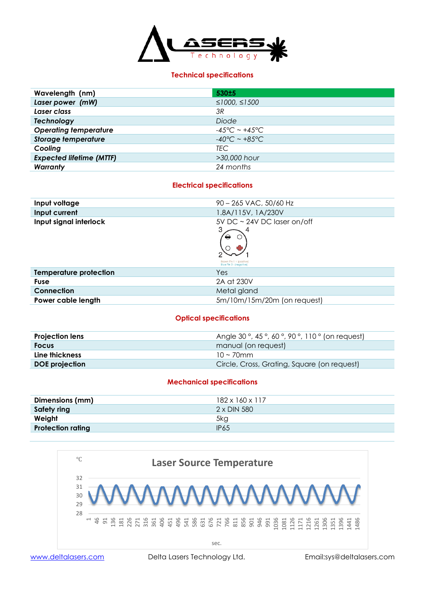

## **Technical specifications**

| Wavelength (nm)                 | 530±5                             |
|---------------------------------|-----------------------------------|
| Laser power (mW)                | ≤1000, ≤1500                      |
| Laser class                     | 3R                                |
| <b>Technology</b>               | Diode                             |
| <b>Operating temperature</b>    | $-45^{\circ}$ C ~ $+45^{\circ}$ C |
| <b>Storage temperature</b>      | $-40^{\circ}$ C ~ $+85^{\circ}$ C |
| Cooling                         | <b>TEC</b>                        |
| <b>Expected lifetime (MTTF)</b> | >30,000 hour                      |
| Warranty                        | 24 months                         |

## **Electrical specifications**

| Input voltage                 | 90 - 265 VAC, 50/60 Hz                                                                                   |  |
|-------------------------------|----------------------------------------------------------------------------------------------------------|--|
| Input current                 | 1.8A/115V, 1A/230V                                                                                       |  |
| Input signal interlock        | 5V DC $\sim$ 24V DC laser on/off<br>4<br>$\Theta$<br>Brown Pin 1 + (positive)<br>Blue Pin 3 - (negotive) |  |
| <b>Temperature protection</b> | Yes                                                                                                      |  |
| <b>Fuse</b>                   | 2A at 230V                                                                                               |  |
| Connection                    | Metal gland                                                                                              |  |
| Power cable length            | 5m/10m/15m/20m (on request)                                                                              |  |

## **Optical specifications**

| <b>Projection lens</b> | Angle 30°, 45°, 60°, 90°, 110° (on request) |  |
|------------------------|---------------------------------------------|--|
| <b>Focus</b>           | manual (on request)                         |  |
| Line thickness         | $10 \sim 70$ mm                             |  |
| <b>DOE</b> projection  | Circle, Cross, Grating, Square (on request) |  |

## **Mechanical specifications**



[www.deltalasers.com](http://www.deltalasers.com/) Delta Lasers Technology Ltd. Email:sys@deltalasers.com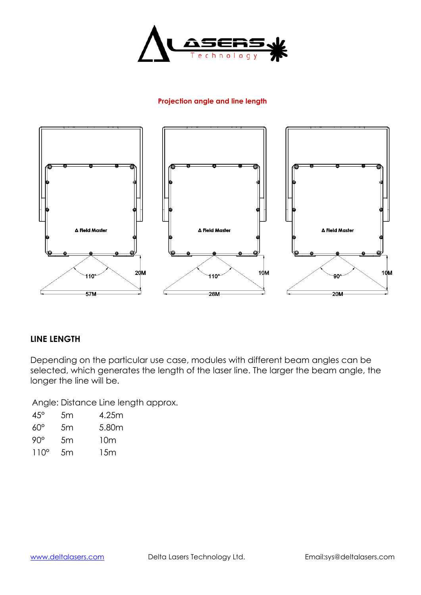

## **Projection angle and line length**



## **LINE LENGTH**

Depending on the particular use case, modules with different beam angles can be selected, which generates the length of the laser line. The larger the beam angle, the longer the line will be.

Angle: Distance Line length approx.

| $45^{\circ}$ | 5m | 4.25m |
|--------------|----|-------|
| $60^{\circ}$ | 5m | 5.80m |
| $90^\circ$   | 5m | 10m   |
| $110^\circ$  | 5m | 15m   |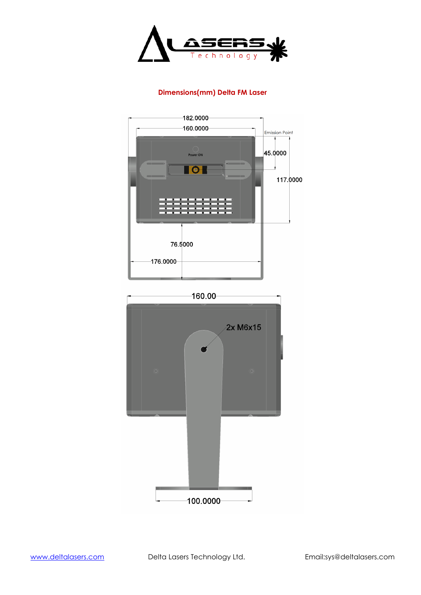

## **Dimensions(mm) Delta FM Laser**